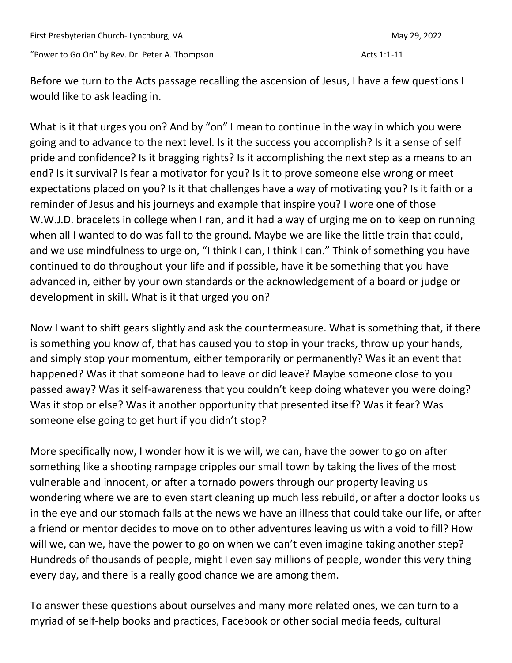Before we turn to the Acts passage recalling the ascension of Jesus, I have a few questions I would like to ask leading in.

What is it that urges you on? And by "on" I mean to continue in the way in which you were going and to advance to the next level. Is it the success you accomplish? Is it a sense of self pride and confidence? Is it bragging rights? Is it accomplishing the next step as a means to an end? Is it survival? Is fear a motivator for you? Is it to prove someone else wrong or meet expectations placed on you? Is it that challenges have a way of motivating you? Is it faith or a reminder of Jesus and his journeys and example that inspire you? I wore one of those W.W.J.D. bracelets in college when I ran, and it had a way of urging me on to keep on running when all I wanted to do was fall to the ground. Maybe we are like the little train that could, and we use mindfulness to urge on, "I think I can, I think I can." Think of something you have continued to do throughout your life and if possible, have it be something that you have advanced in, either by your own standards or the acknowledgement of a board or judge or development in skill. What is it that urged you on?

Now I want to shift gears slightly and ask the countermeasure. What is something that, if there is something you know of, that has caused you to stop in your tracks, throw up your hands, and simply stop your momentum, either temporarily or permanently? Was it an event that happened? Was it that someone had to leave or did leave? Maybe someone close to you passed away? Was it self-awareness that you couldn't keep doing whatever you were doing? Was it stop or else? Was it another opportunity that presented itself? Was it fear? Was someone else going to get hurt if you didn't stop?

More specifically now, I wonder how it is we will, we can, have the power to go on after something like a shooting rampage cripples our small town by taking the lives of the most vulnerable and innocent, or after a tornado powers through our property leaving us wondering where we are to even start cleaning up much less rebuild, or after a doctor looks us in the eye and our stomach falls at the news we have an illness that could take our life, or after a friend or mentor decides to move on to other adventures leaving us with a void to fill? How will we, can we, have the power to go on when we can't even imagine taking another step? Hundreds of thousands of people, might I even say millions of people, wonder this very thing every day, and there is a really good chance we are among them.

To answer these questions about ourselves and many more related ones, we can turn to a myriad of self-help books and practices, Facebook or other social media feeds, cultural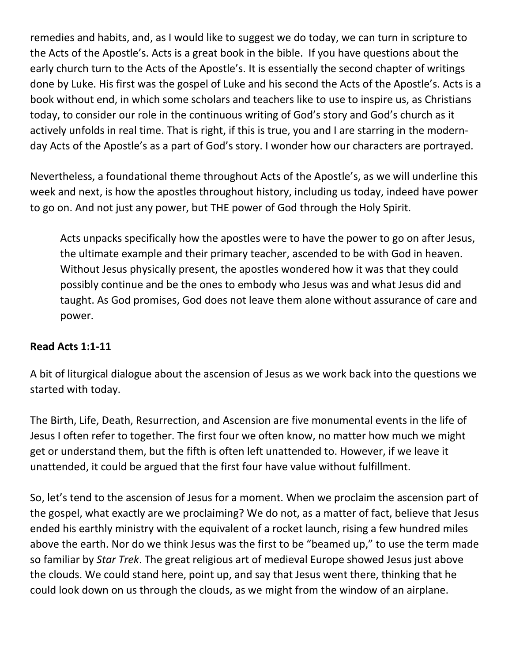remedies and habits, and, as I would like to suggest we do today, we can turn in scripture to the Acts of the Apostle's. Acts is a great book in the bible. If you have questions about the early church turn to the Acts of the Apostle's. It is essentially the second chapter of writings done by Luke. His first was the gospel of Luke and his second the Acts of the Apostle's. Acts is a book without end, in which some scholars and teachers like to use to inspire us, as Christians today, to consider our role in the continuous writing of God's story and God's church as it actively unfolds in real time. That is right, if this is true, you and I are starring in the modernday Acts of the Apostle's as a part of God's story. I wonder how our characters are portrayed.

Nevertheless, a foundational theme throughout Acts of the Apostle's, as we will underline this week and next, is how the apostles throughout history, including us today, indeed have power to go on. And not just any power, but THE power of God through the Holy Spirit.

Acts unpacks specifically how the apostles were to have the power to go on after Jesus, the ultimate example and their primary teacher, ascended to be with God in heaven. Without Jesus physically present, the apostles wondered how it was that they could possibly continue and be the ones to embody who Jesus was and what Jesus did and taught. As God promises, God does not leave them alone without assurance of care and power.

## **Read Acts 1:1-11**

A bit of liturgical dialogue about the ascension of Jesus as we work back into the questions we started with today.

The Birth, Life, Death, Resurrection, and Ascension are five monumental events in the life of Jesus I often refer to together. The first four we often know, no matter how much we might get or understand them, but the fifth is often left unattended to. However, if we leave it unattended, it could be argued that the first four have value without fulfillment.

So, let's tend to the ascension of Jesus for a moment. When we proclaim the ascension part of the gospel, what exactly are we proclaiming? We do not, as a matter of fact, believe that Jesus ended his earthly ministry with the equivalent of a rocket launch, rising a few hundred miles above the earth. Nor do we think Jesus was the first to be "beamed up," to use the term made so familiar by *Star Trek*. The great religious art of medieval Europe showed Jesus just above the clouds. We could stand here, point up, and say that Jesus went there, thinking that he could look down on us through the clouds, as we might from the window of an airplane.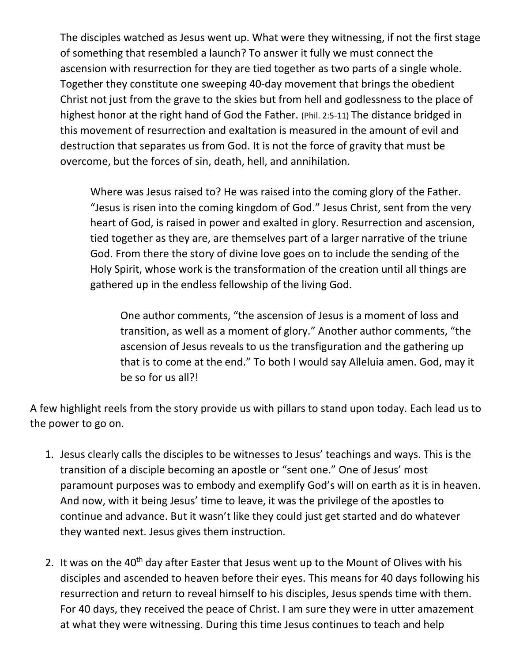The disciples watched as Jesus went up. What were they witnessing, if not the first stage of something that resembled a launch? To answer it fully we must connect the ascension with resurrection for they are tied together as two parts of a single whole. Together they constitute one sweeping 40-day movement that brings the obedient Christ not just from the grave to the skies but from hell and godlessness to the place of highest honor at the right hand of God the Father. (Phil. 2:5-11) The distance bridged in this movement of resurrection and exaltation is measured in the amount of evil and destruction that separates us from God. It is not the force of gravity that must be overcome, but the forces of sin, death, hell, and annihilation.

Where was Jesus raised to? He was raised into the coming glory of the Father. "Jesus is risen into the coming kingdom of God." Jesus Christ, sent from the very heart of God, is raised in power and exalted in glory. Resurrection and ascension, tied together as they are, are themselves part of a larger narrative of the triune God. From there the story of divine love goes on to include the sending of the Holy Spirit, whose work is the transformation of the creation until all things are gathered up in the endless fellowship of the living God.

One author comments, "the ascension of Jesus is a moment of loss and transition, as well as a moment of glory." Another author comments, "the ascension of Jesus reveals to us the transfiguration and the gathering up that is to come at the end." To both I would say Alleluia amen. God, may it be so for us all?!

A few highlight reels from the story provide us with pillars to stand upon today. Each lead us to the power to go on.

- 1. Jesus clearly calls the disciples to be witnesses to Jesus' teachings and ways. This is the transition of a disciple becoming an apostle or "sent one." One of Jesus' most paramount purposes was to embody and exemplify God's will on earth as it is in heaven. And now, with it being Jesus' time to leave, it was the privilege of the apostles to continue and advance. But it wasn't like they could just get started and do whatever they wanted next. Jesus gives them instruction.
- 2. It was on the 40<sup>th</sup> day after Easter that Jesus went up to the Mount of Olives with his disciples and ascended to heaven before their eyes. This means for 40 days following his resurrection and return to reveal himself to his disciples, Jesus spends time with them. For 40 days, they received the peace of Christ. I am sure they were in utter amazement at what they were witnessing. During this time Jesus continues to teach and help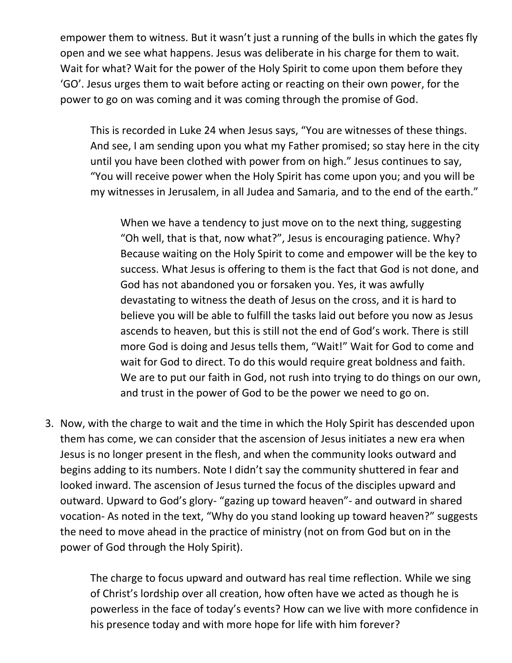empower them to witness. But it wasn't just a running of the bulls in which the gates fly open and we see what happens. Jesus was deliberate in his charge for them to wait. Wait for what? Wait for the power of the Holy Spirit to come upon them before they 'GO'. Jesus urges them to wait before acting or reacting on their own power, for the power to go on was coming and it was coming through the promise of God.

This is recorded in Luke 24 when Jesus says, "You are witnesses of these things. And see, I am sending upon you what my Father promised; so stay here in the city until you have been clothed with power from on high." Jesus continues to say, "You will receive power when the Holy Spirit has come upon you; and you will be my witnesses in Jerusalem, in all Judea and Samaria, and to the end of the earth."

When we have a tendency to just move on to the next thing, suggesting "Oh well, that is that, now what?", Jesus is encouraging patience. Why? Because waiting on the Holy Spirit to come and empower will be the key to success. What Jesus is offering to them is the fact that God is not done, and God has not abandoned you or forsaken you. Yes, it was awfully devastating to witness the death of Jesus on the cross, and it is hard to believe you will be able to fulfill the tasks laid out before you now as Jesus ascends to heaven, but this is still not the end of God's work. There is still more God is doing and Jesus tells them, "Wait!" Wait for God to come and wait for God to direct. To do this would require great boldness and faith. We are to put our faith in God, not rush into trying to do things on our own, and trust in the power of God to be the power we need to go on.

3. Now, with the charge to wait and the time in which the Holy Spirit has descended upon them has come, we can consider that the ascension of Jesus initiates a new era when Jesus is no longer present in the flesh, and when the community looks outward and begins adding to its numbers. Note I didn't say the community shuttered in fear and looked inward. The ascension of Jesus turned the focus of the disciples upward and outward. Upward to God's glory- "gazing up toward heaven"- and outward in shared vocation- As noted in the text, "Why do you stand looking up toward heaven?" suggests the need to move ahead in the practice of ministry (not on from God but on in the power of God through the Holy Spirit).

> The charge to focus upward and outward has real time reflection. While we sing of Christ's lordship over all creation, how often have we acted as though he is powerless in the face of today's events? How can we live with more confidence in his presence today and with more hope for life with him forever?